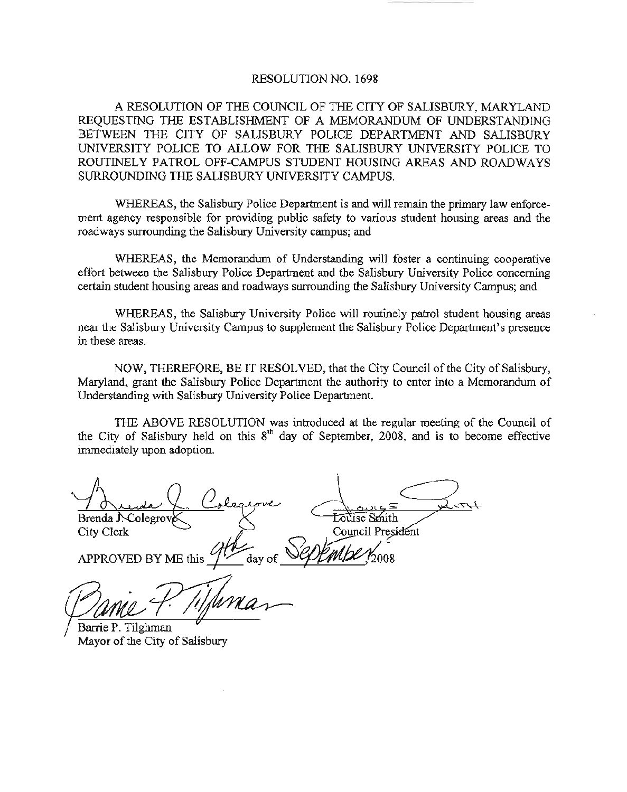#### RESOLUTION NO. 1698

A RESOLUTION OF THE COUNCIL OF THE CITY OF SALISBURY, MARYLAND REQUESTING THE ESTABLISHMENT OF A MEMORANDUM OF UNDERSTANDING BETWEEN THE CITY OF SALISBURY POLICE DEPARTMENT AND SALISBURY UNIVERSITY POLICE TO ALLOW FOR THE SALISBURY UNIVERSITY POLICE TO ROUTINELY PATROL OFF-CAMPUS STUDENT HOUSING AREAS AND ROADWAYS SURROUNDING THE SALISBURY UNIVERSITY CAMPUS.

WHEREAS, the Salisbury Police Department is and will remain the primary law enforcement agency responsible for providing public safety to various student housing areas and the roadways surrounding the Salisbury University campus; and

WHEREAS, the Memorandum of Understanding will foster a continuing cooperative effort between the Salisbury Police Department and the Salisbury University Police concerning certain student housing areas and roadways surrounding the Salisbury University Campus; and

WHEREAS, the Salisbury University Police will routinely patrol student housing areas near the Salisbury University Campus to supplement the Salisbury Police Department's presence in these areas.

NOW, THEREFORE, BE IT RESOLVED, that the City Council of the City of Salisbury, Maryland, grant the Salisbury Police Department the authority to enter into a Memorandum of Understanding with Salisbury University Police Department.

THE ABOVE RESOLUTION was introduced at the regular meeting of the Council of the City of Salisbury held on this  $8<sup>th</sup>$  day of September, 2008, and is to become effective immediately upon adoption.

 $B$ renda. J. Colegrov $\bigotimes$  and  $\bigotimes$  countries to the countries of the countries of the countries of the countries of the countries of the countries of the countries of the countries of the countries of the countries of City Clerk Council Presis<br>APPROVED BY ME this  $\frac{911}{4}$  day of Septembe .2008

Barrie P. Tilghman Mayor of the City of Salisbury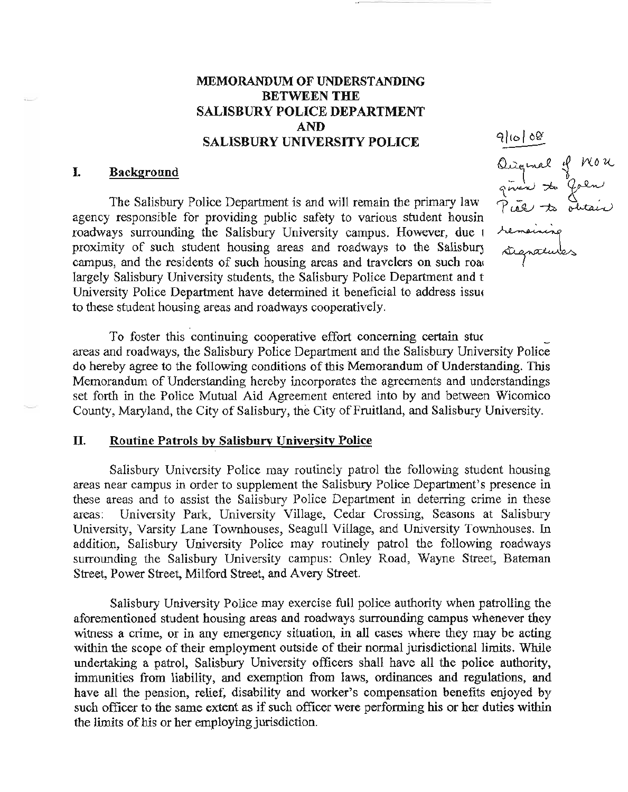# MEMORANDUM OF UNDERSTANDING BETWEEN THE SALISBURY POLICE DEPARTMENT AND SALISBURY UNIVERSITY POLICE

### I. Backeround

The Salisbury Police Department is and will remain the primary law agency responsible for providing public safety to various student housin roadways surrounding the Salisbury University campus. However, due <sup>1</sup> proximity of such student housing areas and roadways to the Salisbury campus, and the residents of such housing areas and travelers on such road largely Salisbury University students, the Salisbury Police Department and t University Police Department have determined it beneficial to address issue to these student housing areas and roadways cooperatively.

To foster this continuing cooperative effort concerning certain students. areas and roadways, the Salisbury Police Department and the Salisbury University Police do hereby agree to the following conditions of this Memorandum of Understanding. This Memorandum of Understanding hereby incorporates the agreements and understandings set forth in the Police Mutual Aid Agreement entered into by and between Wicomico County, Maryland, the City of Salisbury, the City of Fruitland, and Salisbury University.

### II. Routine Patrols by Salisbury University Police

Salisbury University Police may routinely patrol the following student housing areas near campus in order to supplement the Salisbury Police Department's presence in these areas and to assist the Salisbury Police Department in deterring crime in these areas: University Park, University Village, Cedar Crossing, Seasons at Salisbury University, Varsity Lane Townhouses, Seagull Village, and University Townhouses. In addition, Salisbury University Police may routinely patrol the following roadways surrounding the Salisbury University campus: Onley Road, Wayne Street, Bateman Street, Power Street, Milford Street, and Avery Street.

Salisbury University Police may exercise full police authority when patrolling the aforementioned student housing areas and roadways surrounding campus whenever they witness a crime, or in any emergency situation, in all cases where they may be acting within the scope of their employment outside of their normal jurisdictional limits. While undertaking a patrol, Salisbury University officers shall have all the police authority, immunities from liability, and exemption from laws, ordinances and regulations, and have all the pension, relief, disability and worker's compensation benefits enjoyed by such officer to the same extent as if such officer were performing his or her duties within the limits of his or her employing jurisdiction.

 $9|10|00$ Ouromal of MOK<br>general to Goen<br>Pier to obtain<br>remoining<br>sugnatures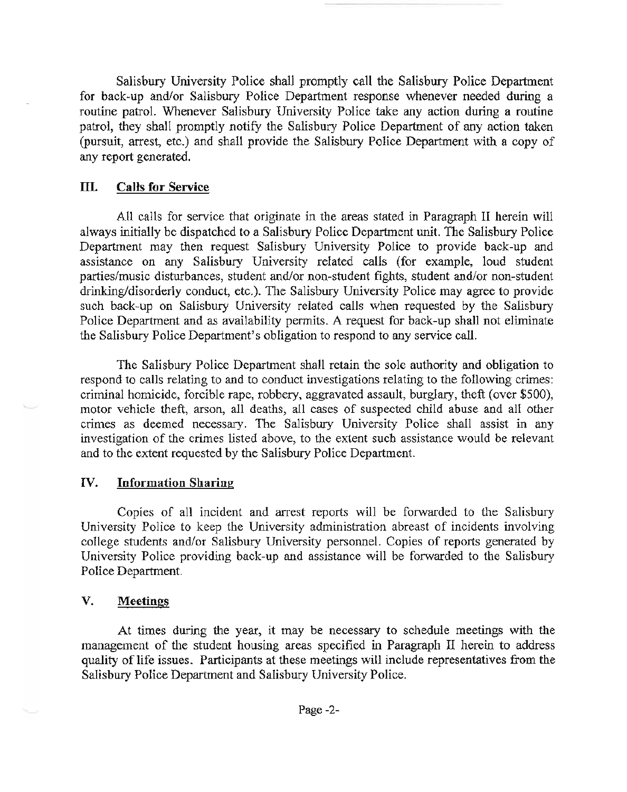Salisbury University Police shall promptly call the Salisbury Police Department for back-up and/or Salisbury Police Department response whenever needed during a routine patrol. Whenever Salisbury University Police take any action during a routine patrol, they shall promptly notify the Salisbury Police Department of any action taken (pursuit, arrest, etc.) and shall provide the Salisbury Police Department with a copy of any report generated.

### III. Calls for Service

All calls for service that originate in the areas stated in Paragraph II herein will always initially be dispatched to a Salisbury Police Department unit. The Salisbury Police Department may then request Salisbury University Police to provide back-up and assistance on any Salisbury University related calls (for example, loud student parties/music disturbances, student and/or non-student fights, student and/or non-student drinking/disorderly conduct, etc.). The Salisbury University Police may agree to provide such back-up on Salisbury University related calls when requested by the Salisbury Police Department and as availability permits. A request for back-up shall not eliminate the Salisbury Police Department's obligation to respond to any service call.

The Salisbury Police Department shall retain the sole authority and obligation to respond to calls relating to and to conduct investigations relating to the following crimes: criminal homicide, forcible rape, robbery, aggravated assault, burglary, theft (over \$500), motor vehicle theft, arson, all deaths, all cases of suspected child abuse and all other crimes as deemed necessary. The Salisbury University Police shall assist in any investigation of the crimes listed above, to the extent such assistance would be relevant and to the extent requested by the Salisbury Police Department.

# IV. Information Sharing

Copies of all incident and arrest reports will be forwarded to the Salisbury University Police to keep the University administration abreast of incidents involving college students and/or Salisbury University personnel. Copies of reports generated by University Police providing back-up and assistance will be forwarded to the Salisbury Police Department.

# V. Meetings

At times during the year, it may be necessary to schedule meetings with the management of the student housing areas specified in Paragraph II herein to address quality of life issues. Participants at these meetings will include representatives from the Salisbury Police Department and Salisbury University Police.